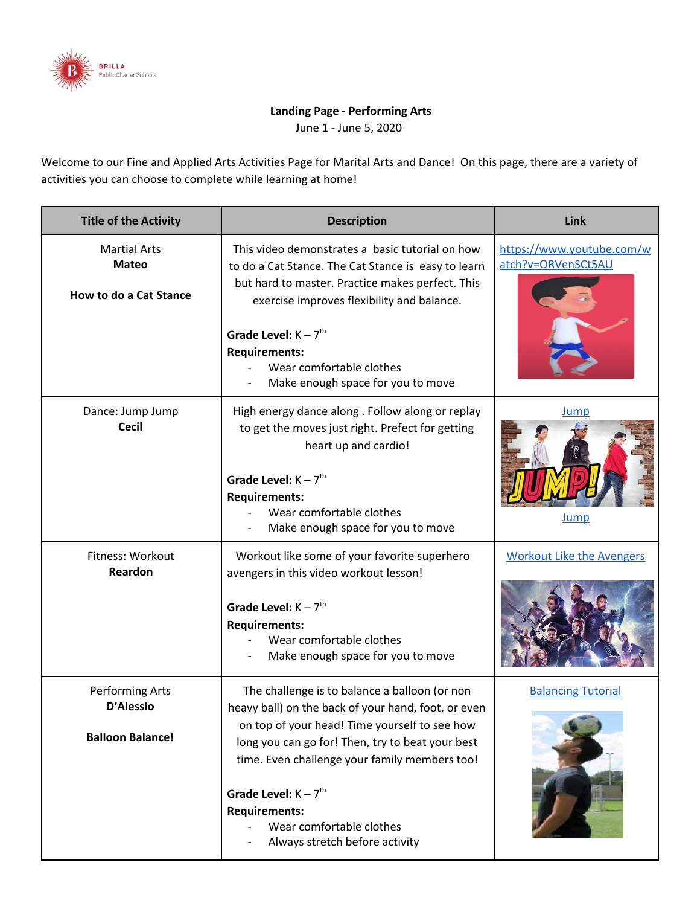

## **Landing Page - Performing Arts**

June 1 - June 5, 2020

Welcome to our Fine and Applied Arts Activities Page for Marital Arts and Dance! On this page, there are a variety of activities you can choose to complete while learning at home!

| <b>Title of the Activity</b>                                         | <b>Description</b>                                                                                                                                                                                                                                                                                                                                                         | Link                                            |
|----------------------------------------------------------------------|----------------------------------------------------------------------------------------------------------------------------------------------------------------------------------------------------------------------------------------------------------------------------------------------------------------------------------------------------------------------------|-------------------------------------------------|
| <b>Martial Arts</b><br><b>Mateo</b><br><b>How to do a Cat Stance</b> | This video demonstrates a basic tutorial on how<br>to do a Cat Stance. The Cat Stance is easy to learn<br>but hard to master. Practice makes perfect. This<br>exercise improves flexibility and balance.<br>Grade Level: $K - 7$ <sup>th</sup><br><b>Requirements:</b><br>Wear comfortable clothes<br>Make enough space for you to move                                    | https://www.youtube.com/w<br>atch?v=ORVenSCt5AU |
| Dance: Jump Jump<br><b>Cecil</b>                                     | High energy dance along . Follow along or replay<br>to get the moves just right. Prefect for getting<br>heart up and cardio!<br>Grade Level: $K - 7$ <sup>th</sup><br><b>Requirements:</b><br>Wear comfortable clothes<br>Make enough space for you to move                                                                                                                | <b>Jump</b><br><u>Jump</u>                      |
| Fitness: Workout<br>Reardon                                          | Workout like some of your favorite superhero<br>avengers in this video workout lesson!<br>Grade Level: $K - 7$ <sup>th</sup><br><b>Requirements:</b><br>Wear comfortable clothes<br>Make enough space for you to move                                                                                                                                                      | <b>Workout Like the Avengers</b>                |
| Performing Arts<br>D'Alessio<br><b>Balloon Balance!</b>              | The challenge is to balance a balloon (or non<br>heavy ball) on the back of your hand, foot, or even<br>on top of your head! Time yourself to see how<br>long you can go for! Then, try to beat your best<br>time. Even challenge your family members too!<br>Grade Level: $K - 7th$<br><b>Requirements:</b><br>Wear comfortable clothes<br>Always stretch before activity | <b>Balancing Tutorial</b>                       |